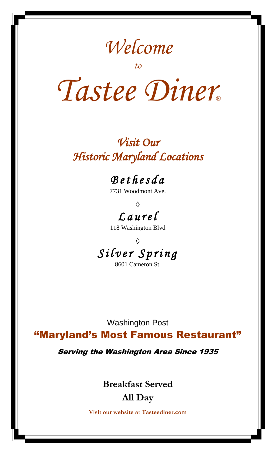# *Welcome*

*to* 

# *Tastee Diner®*

# *Visit Our Historic Maryland Locations*

# *B e t h e s d a*

7731 Woodmont Ave.

*◊ L a u r e l* 

118 Washington Blvd

*◊ S i l v e r S p r i n g* 

8601 Cameron St.

Washington Post

"Maryland's Most Famous Restaurant"

Serving the Washington Area Since 1935

**Breakfast Served** 

#### **All Day**

**Visit our website at Tasteediner.com**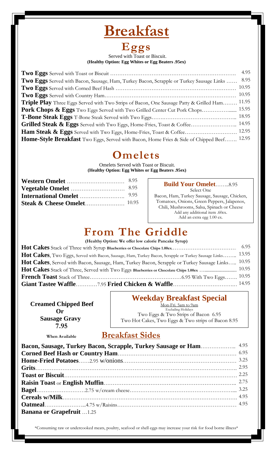### **Breakfast**

# **Eggs**

#### Served with Toast or Biscuit. **(Healthy Option: Egg Whites or Egg Beaters .95ex)**

|                                                                                                | 4.95  |
|------------------------------------------------------------------------------------------------|-------|
| Two Eggs Served with Bacon, Sausage, Ham, Turkey Bacon, Scrapple or Turkey Sausage Links       | 8.95  |
|                                                                                                | 10.95 |
|                                                                                                | 10.95 |
| <b>Triple Play</b> Three Eggs Served with Two Strips of Bacon, One Sausage Patty & Grilled Ham | 11.95 |
| Pork Chops & Eggs Two Eggs Served with Two Grilled Center Cut Pork Chops 15.95                 |       |
|                                                                                                |       |
|                                                                                                | 14.95 |
| Ham Steak & Eggs Served with Two Eggs, Home-Fries, Toast & Coffee 12.95                        |       |
| Home-Style Breakfast Two Eggs, Served with Bacon, Home Fries & Side of Chipped Beef 12.95      |       |

#### **Omelets**

Omelets Served with Toast or Biscuit. **(Healthy Option: Egg Whites or Egg Beaters .95ex)**

| 8.95 |
|------|
|      |
|      |

| <b>Build Your Omelet8.95</b>                  |
|-----------------------------------------------|
| Select One                                    |
| Bacon, Ham, Turkey Sausage, Sausage, Chicken, |
| Tomatoes, Onions, Green Peppers, Jalapenos,   |
| Chili, Mushrooms, Salsa, Spinach or Cheese    |
| Add any additional item .60ex.                |
| Add an extra egg 1.00 ex.                     |

### **From The Griddle**

**(Healthy Option: We offer low calorie Pancake Syrup)**

| Hot Cakes, Two Eggs, Served with Bacon, Sausage, Ham, Turkey Bacon, Scrapple or Turkey Sausage Links 13.95  |  |
|-------------------------------------------------------------------------------------------------------------|--|
| Hot Cakes, Served with Bacon, Sausage, Ham, Turkey Bacon, Scrapple or Turkey Sausage Links <sup>10.95</sup> |  |
|                                                                                                             |  |
|                                                                                                             |  |
|                                                                                                             |  |

 **Creamed Chipped Beef Or Sausage Gravy 7.95**

#### **Weekday Breakfast Special**

Mon-Fri. 5am to 9am Excluding Holidays Two Eggs & Two Strips of Bacon 6.95 Two Hot Cakes, Two Eggs & Two strips of Bacon 8.95

#### **When Available Breakfast Sides**

| <b>Banana or Grapefruit</b> 1.25 |  |
|----------------------------------|--|

\*Consuming raw or undercooked meats, poultry, seafood or shell eggs may increase your risk for food borne illness\*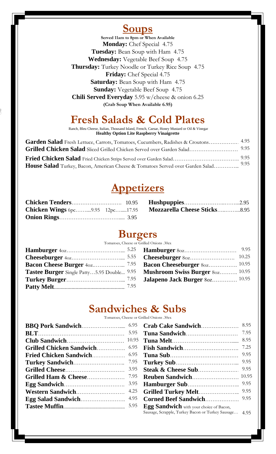#### **Soups**

**Served 11am to 8pm or When Available Monday:** Chef Special 4.75 **Tuesday:** Bean Soup with Ham 4.75 **Wednesday:** Vegetable Beef Soup 4.75 **Thursday:** Turkey Noodle or Turkey Rice Soup 4.75 **Friday:** Chef Special 4.75 **Saturday:** Bean Soup with Ham 4.75 **Sunday:** Vegetable Beef Soup 4.75 **Chili Served Everyday** 5.95 w/cheese & onion 6.25 **(Crab Soup When Available 6.95)**

### **Fresh Salads & Cold Plates**

Ranch, Bleu Cheese, Italian, Thousand Island, French, Caesar, Honey Mustard or Oil & Vinegar **Healthy Option Lite Raspberry Vinaigrette** 

| Garden Salad Fresh Lettuce, Carrots, Tomatoes, Cucumbers, Radishes & Croutons 4.95 |      |
|------------------------------------------------------------------------------------|------|
|                                                                                    |      |
|                                                                                    | 9.95 |
| House Salad Turkey, Bacon, American Cheese & Tomatoes Served over Garden Salad     | 9.95 |

#### **Appetizers**

|  | Chicken Wings 6pc9.95 12pc17.95 Mozzarella Cheese Sticks8.95 |  |
|--|--------------------------------------------------------------|--|
|  |                                                              |  |

#### **Burgers**

Tomatoes, Cheese or Grilled Onions .30ex

| <b>Tastee Burger</b> Single Patty5.95 Double <sup>9.95</sup> Mushroom Swiss Burger 80z <sup>10.95</sup> |  |
|---------------------------------------------------------------------------------------------------------|--|
|                                                                                                         |  |
|                                                                                                         |  |

| <b>Hamburger</b> 80z                   | 9.95  |
|----------------------------------------|-------|
| Cheeseburger 80z                       | 10.25 |
| <b>Bacon Cheeseburger</b> 80z 10.95    |       |
| <b>Mushroom Swiss Burger 802 10.95</b> |       |
| <b>Jalapeno Jack Burger 80z 10.95</b>  |       |

#### **Sandwiches & Subs**

Tomatoes, Cheese or Grilled Onions .30ex

|                                                                                  |                                                                                                                                                                                                                                                                                                                                                                                      | 7.95 |
|----------------------------------------------------------------------------------|--------------------------------------------------------------------------------------------------------------------------------------------------------------------------------------------------------------------------------------------------------------------------------------------------------------------------------------------------------------------------------------|------|
|                                                                                  |                                                                                                                                                                                                                                                                                                                                                                                      | 8.95 |
|                                                                                  | <b>Fish Sandwich</b>                                                                                                                                                                                                                                                                                                                                                                 | 7.25 |
|                                                                                  |                                                                                                                                                                                                                                                                                                                                                                                      | 9.95 |
|                                                                                  |                                                                                                                                                                                                                                                                                                                                                                                      |      |
|                                                                                  |                                                                                                                                                                                                                                                                                                                                                                                      |      |
|                                                                                  |                                                                                                                                                                                                                                                                                                                                                                                      |      |
|                                                                                  |                                                                                                                                                                                                                                                                                                                                                                                      | 9.95 |
|                                                                                  |                                                                                                                                                                                                                                                                                                                                                                                      |      |
| <b>Egg Salad Sandwich Manufacture 1.95 Corned Beef Sandwich Manufacture 1.95</b> |                                                                                                                                                                                                                                                                                                                                                                                      |      |
|                                                                                  |                                                                                                                                                                                                                                                                                                                                                                                      |      |
|                                                                                  | $\overline{C}$ $\overline{C}$ $\overline{C}$ $\overline{C}$ $\overline{C}$ $\overline{C}$ $\overline{C}$ $\overline{C}$ $\overline{C}$ $\overline{C}$ $\overline{C}$ $\overline{C}$ $\overline{C}$ $\overline{C}$ $\overline{C}$ $\overline{C}$ $\overline{C}$ $\overline{C}$ $\overline{C}$ $\overline{C}$ $\overline{C}$ $\overline{C}$ $\overline{C}$ $\overline{C}$ $\overline{$ |      |

|                               | 5.95 |                                                        | 7.95 |
|-------------------------------|------|--------------------------------------------------------|------|
|                               |      |                                                        | 8.95 |
| Grilled Chicken Sandwich 6.95 |      |                                                        | 7.25 |
|                               |      |                                                        |      |
| <b>Turkey Sandwich</b>        | 7.95 |                                                        |      |
|                               | 3.95 |                                                        | 9.95 |
| Grilled Ham $\&$ Cheese       | 7.95 |                                                        |      |
| <b>Egg Sandwich</b>           | 3.95 | <b>Hamburger Sub</b> 9.95                              |      |
| Western Sandwich              | 4.25 |                                                        | 9.95 |
| <b>Egg Salad Sandwich</b>     | 4.95 |                                                        |      |
|                               | 5.95 | Egg Sandwich with your choice of Bacon,                |      |
|                               |      | Sausage, Scrapple, Turkey Bacon or Turkey Sausage 4.95 |      |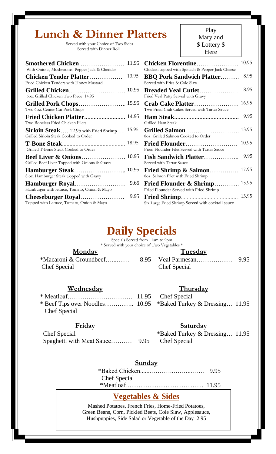## **Lunch & Dinner Platters**

 Served with your Choice of Two Sides Served with Dinner Roll

| <b>Smothered Chicken </b><br>With Onions, Mushrooms, Pepper Jack & Cheddar            | 11.95 | <b>Chicken Florentine</b><br>Chicken topped with Spinach & Pepper Jack Cheese | 10.95 |
|---------------------------------------------------------------------------------------|-------|-------------------------------------------------------------------------------|-------|
| <b>Chicken Tender Platter</b><br>Fried Chicken Tenders with Honey Mustard             | 13.95 | <b>BBQ Pork Sandwich Platter</b><br>Served with Fries & Cole Slaw             | 8.95  |
| Grilled Chicken<br>6oz. Grilled Chicken Two Piece 14.95                               | 10.95 | <b>Breaded Veal Cutlet</b><br>Fried Veal Patty Served with Gravy              | 8.95  |
| Two 60z. Center Cut Pork Chops                                                        |       | Crab Cake Platter<br>Two Fried Crab Cakes Served with Tartar Sauce            | 16.95 |
| Two Boneless Fried Chicken Filets                                                     |       | Grilled Ham Steak                                                             | 9.95  |
| <b>Sirloin Steak12.95 with Fried Shrimp</b><br>Grilled Sirloin Steak Cooked to Order  | 15.95 | Grilled Salmon<br>80z. Grilled Salmon Cooked to Order                         | 13.95 |
| Grilled T-Bone Steak Cooked to Order                                                  | 18.95 | Fried Flounder Filet Served with Tartar Sauce                                 | 10.95 |
| <b>Beef Liver &amp; Onions</b> 10.95<br>Grilled Beef Liver Topped with Onions & Gravy |       | <b>Fish Sandwich Platter</b><br>Served with Tartar Sauce                      | 9.95  |
| 8 oz. Hamburger Steak Topped with Gravy                                               |       | Fried Shrimp & Salmon<br>80z. Salmon Filet with Fried Shrimp                  | 17.95 |
| Hamburger Royal<br>Hamburger with lettuce, Tomato, Onion & Mayo                       | 9.65  | Fried Flounder & Shrimp<br>Fried Flounder Served with Fried Shrimp            | 15.95 |
| Topped with Lettuce, Tomato, Onion & Mayo                                             | 9.95  | Six Large Fried Shrimp Served with cocktail sauce                             | 13.95 |

Play Maryland \$ Lottery \$ Here

| <b>Smothered Chicken</b><br>With Onions, Mushrooms, Pepper Jack & Cheddar                               | 11.95 | <b>Chicken Florentine</b><br>Chicken topped with Spinach & Pepper Jack Cheese | 10.95 |
|---------------------------------------------------------------------------------------------------------|-------|-------------------------------------------------------------------------------|-------|
| <b>Chicken Tender Platter</b><br>Fried Chicken Tenders with Honey Mustard                               | 13.95 | <b>BBQ Pork Sandwich Platter</b><br>Served with Fries & Cole Slaw             | 8.95  |
| <b>Grilled Chicken</b> 10.95<br>60z. Grilled Chicken Two Piece 14.95                                    |       | Breaded Veal Cutlet<br>Fried Veal Patty Served with Gravy                     | 8.95  |
| Two 60z. Center Cut Pork Chops                                                                          |       | Crab Cake Platter<br>Two Fried Crab Cakes Served with Tartar Sauce            | 16.95 |
| <b>Fried Chicken Platter</b> 14.95<br>Two Boneless Fried Chicken Filets                                 |       | Grilled Ham Steak                                                             | 9.95  |
| $\bold{Sirloin\,\,}\bold{Steak}\dots$ .12.95 with Fried Shrimp<br>Grilled Sirloin Steak Cooked to Order | 15.95 | Grilled Salmon<br>80z. Grilled Salmon Cooked to Order                         | 13.95 |
| Grilled T-Bone Steak Cooked to Order                                                                    |       | Fried Flounder Filet Served with Tartar Sauce                                 | 10.95 |
| <b>Beef Liver &amp; Onions</b> 10.95<br>Grilled Beef Liver Topped with Onions & Gravy                   |       | <b>Fish Sandwich Platter</b><br>Served with Tartar Sauce                      | 9.95  |
| <b>Hamburger Steak</b> 10.95<br>8 oz. Hamburger Steak Topped with Gravy                                 |       | Fried Shrimp & Salmon<br>8oz. Salmon Filet with Fried Shrimp                  | 17.95 |
| Hamburger Royal<br>Hamburger with lettuce, Tomato, Onion & Mayo                                         | 9.65  | Fried Flounder & Shrimp<br>Fried Flounder Served with Fried Shrimp            | 15.95 |
| Cheeseburger Royal<br>Topped with Lettuce, Tomato, Onion & Mayo                                         | 9.95  | Six Large Fried Shrimp Served with cocktail sauce                             | 13.95 |

# **Daily Specials**

 \* Served with your choice of Two Vegetables \* Specials Served from 11am to 9pm

#### **Monday Tuesday**

|              | *Macaroni & Groundbeef |
|--------------|------------------------|
| Chef Special |                        |

#### **Wednesday Thursday**

\* Meatloaf…………………………. 11.95 Chef Special \* Beef Tips over Noodles………….. 10.95 \*Baked Turkey & Dressing…. 11.95 Chef Special

 $\overline{a}$ 

Spaghetti with Meat Sauce………... 9.95 Chef Special

\*Macaroni & Groundbeef…...…… 8.95 Veal Parmesan……………… 9.95

Chef Special

#### **Friday Saturday**

Chef Special \*Baked Turkey & Dressing... 11.95

#### **Sunday**

 \*Baked Chicken.......………..….…..….….. 9.95 Chef Special \*Meatloaf………………………………………11.95

#### **Vegetables & Sides**

Mashed Potatoes, French Fries, Home-Fried Potatoes, Green Beans, Corn, Pickled Beets, Cole Slaw, Applesauce, Hushpuppies, Side Salad or Vegetable of the Day 2.95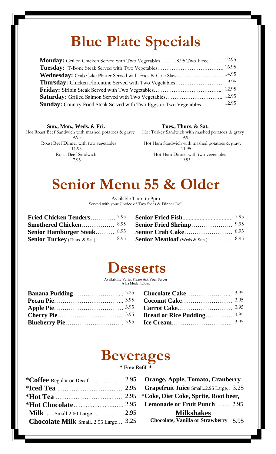# **Blue Plate Specials**

| Monday: Grilled Chicken Served with Two Vegetables8.95.Two Piece 12.95   |       |
|--------------------------------------------------------------------------|-------|
|                                                                          | 16.95 |
| Wednesday: Crab Cake Platter Served with Fries & Cole Slaw 14.95         |       |
|                                                                          |       |
|                                                                          |       |
|                                                                          |       |
| Sunday: Country Fried Steak Served with Two Eggs or Two Vegetables 12.95 |       |

**Sun., Mon., Weds. & Fri. Tues., Thurs. & Sat.**

Hot Roast Beef Sandwich with mashed potatoes & gravy Hot Turkey Sandwich with mashed potatoes & gravy 9.95 9.95 11.95 11.95 7.95 9.95

Roast Beef Dinner with two vegetables Hot Ham Sandwich with mashed potatoes & gravy Roast Beef Sandwich Hot Ham Dinner with two vegetables

# **Senior Menu 55 & Older**

Available 11am to 9pm Served with your Choice of Two Sides & Dinner Roll

| Fried Chicken Tenders <sup>7.95</sup> |  |
|---------------------------------------|--|
| <b>Smothered Chicken</b> 8.95         |  |
| <b>Senior Hamburger Steak</b> 8.95    |  |
|                                       |  |

| <b>Smothered Chicken</b> 8.95                                       | <b>Senior Fried Shrimp</b> 9.95 |  |
|---------------------------------------------------------------------|---------------------------------|--|
| <b>Senior Hamburger Steak</b> $8.95$ <b>Senior Crab Cake</b> $8.95$ |                                 |  |
|                                                                     |                                 |  |

# **Desserts**

Availability Varies Please Ask Your Server A La Mode 1.50ex

| <b>Coconut Cake</b> 3.95            |
|-------------------------------------|
| <b>Carrot Cake</b> 3.95             |
| <b>Bread or Rice Pudding</b> $3.95$ |
| <b>Ice Cream</b> 3.95               |
|                                     |

# **Beverages**

**\* Free Refill \***

| <b>Chocolate Milk</b> Small2.95 Large 3.25 |  |
|--------------------------------------------|--|

**Orange, Apple, Tomato, Cranberry Grapefruit Juice Small..2.95 Large..** 3.25 **\*Hot Tea** ………………………….…… 2.95 **\*Coke, Diet Coke, Sprite, Root beer,** Lemonade or Fruit Punch…...... 2.95 **Milkshakes Chocolate, Vanilla or Strawberry** 5.95